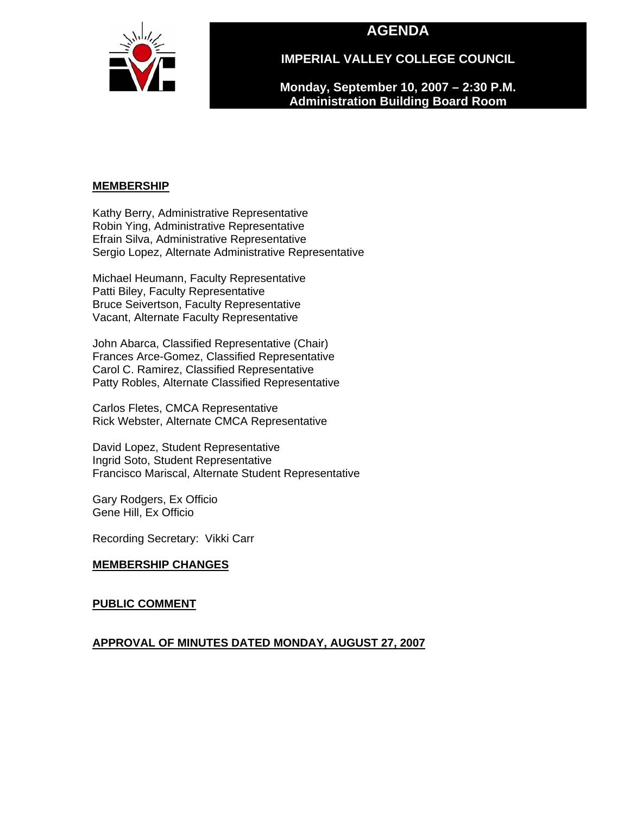# **AGENDA**



**IMPERIAL VALLEY COLLEGE COUNCIL** 

**Monday, September 10, 2007 – 2:30 P.M. Administration Building Board Room** 

## **MEMBERSHIP**

Kathy Berry, Administrative Representative Robin Ying, Administrative Representative Efrain Silva, Administrative Representative Sergio Lopez, Alternate Administrative Representative

Michael Heumann, Faculty Representative Patti Biley, Faculty Representative Bruce Seivertson, Faculty Representative Vacant, Alternate Faculty Representative

John Abarca, Classified Representative (Chair) Frances Arce-Gomez, Classified Representative Carol C. Ramirez, Classified Representative Patty Robles, Alternate Classified Representative

Carlos Fletes, CMCA Representative Rick Webster, Alternate CMCA Representative

David Lopez, Student Representative Ingrid Soto, Student Representative Francisco Mariscal, Alternate Student Representative

Gary Rodgers, Ex Officio Gene Hill, Ex Officio

Recording Secretary: Vikki Carr

# **MEMBERSHIP CHANGES**

#### **PUBLIC COMMENT**

# **APPROVAL OF MINUTES DATED MONDAY, AUGUST 27, 2007**